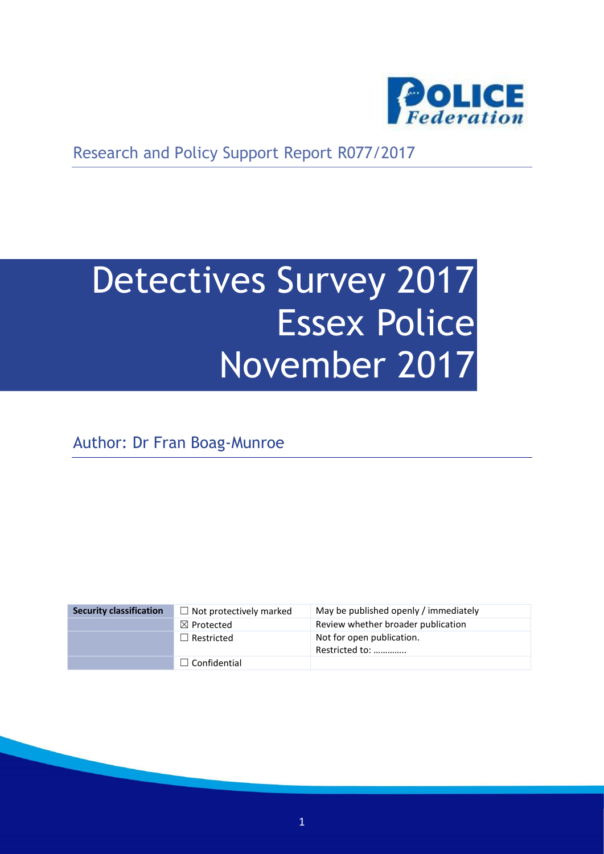

Research and Policy Support Report R077/2017

# Detectives Survey 2017 Essex Police November 2017

Author: Dr Fran Boag-Munroe

| <b>Security classification</b> | $\Box$ Not protectively marked | May be published openly / immediately       |
|--------------------------------|--------------------------------|---------------------------------------------|
|                                | $\boxtimes$ Protected          | Review whether broader publication          |
|                                | $\Box$ Restricted              | Not for open publication.<br>Restricted to: |
|                                | $\Box$ Confidential            |                                             |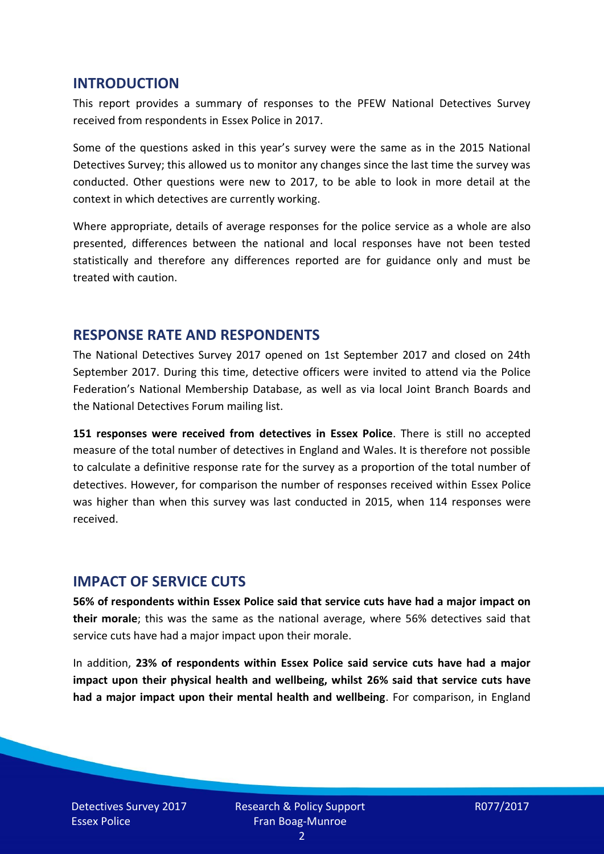#### **INTRODUCTION**

This report provides a summary of responses to the PFEW National Detectives Survey received from respondents in Essex Police in 2017.

Some of the questions asked in this year's survey were the same as in the 2015 National Detectives Survey; this allowed us to monitor any changes since the last time the survey was conducted. Other questions were new to 2017, to be able to look in more detail at the context in which detectives are currently working.

Where appropriate, details of average responses for the police service as a whole are also presented, differences between the national and local responses have not been tested statistically and therefore any differences reported are for guidance only and must be treated with caution.

#### **RESPONSE RATE AND RESPONDENTS**

The National Detectives Survey 2017 opened on 1st September 2017 and closed on 24th September 2017. During this time, detective officers were invited to attend via the Police Federation's National Membership Database, as well as via local Joint Branch Boards and the National Detectives Forum mailing list.

**151 responses were received from detectives in Essex Police**. There is still no accepted measure of the total number of detectives in England and Wales. It is therefore not possible to calculate a definitive response rate for the survey as a proportion of the total number of detectives. However, for comparison the number of responses received within Essex Police was higher than when this survey was last conducted in 2015, when 114 responses were received.

#### **IMPACT OF SERVICE CUTS**

**56% of respondents within Essex Police said that service cuts have had a major impact on their morale**; this was the same as the national average, where 56% detectives said that service cuts have had a major impact upon their morale.

In addition, **23% of respondents within Essex Police said service cuts have had a major impact upon their physical health and wellbeing, whilst 26% said that service cuts have had a major impact upon their mental health and wellbeing**. For comparison, in England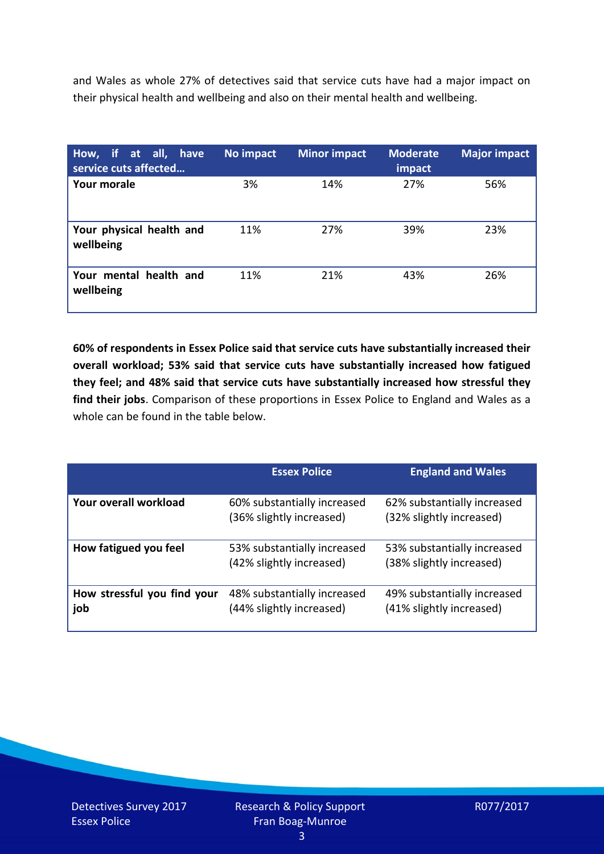and Wales as whole 27% of detectives said that service cuts have had a major impact on their physical health and wellbeing and also on their mental health and wellbeing.

| How, if at all, have<br>service cuts affected | No impact | <b>Minor impact</b> | <b>Moderate</b><br>impact | <b>Major impact</b> |
|-----------------------------------------------|-----------|---------------------|---------------------------|---------------------|
| <b>Your morale</b>                            | 3%        | 14%                 | 27%                       | 56%                 |
| Your physical health and<br>wellbeing         | 11%       | 27%                 | 39%                       | 23%                 |
| Your mental health and<br>wellbeing           | 11%       | 21%                 | 43%                       | 26%                 |

**60% of respondents in Essex Police said that service cuts have substantially increased their overall workload; 53% said that service cuts have substantially increased how fatigued they feel; and 48% said that service cuts have substantially increased how stressful they find their jobs**. Comparison of these proportions in Essex Police to England and Wales as a whole can be found in the table below.

|                                    | <b>Essex Police</b>                                     | <b>England and Wales</b>                                |
|------------------------------------|---------------------------------------------------------|---------------------------------------------------------|
| Your overall workload              | 60% substantially increased<br>(36% slightly increased) | 62% substantially increased<br>(32% slightly increased) |
| How fatigued you feel              | 53% substantially increased<br>(42% slightly increased) | 53% substantially increased<br>(38% slightly increased) |
| How stressful you find your<br>job | 48% substantially increased<br>(44% slightly increased) | 49% substantially increased<br>(41% slightly increased) |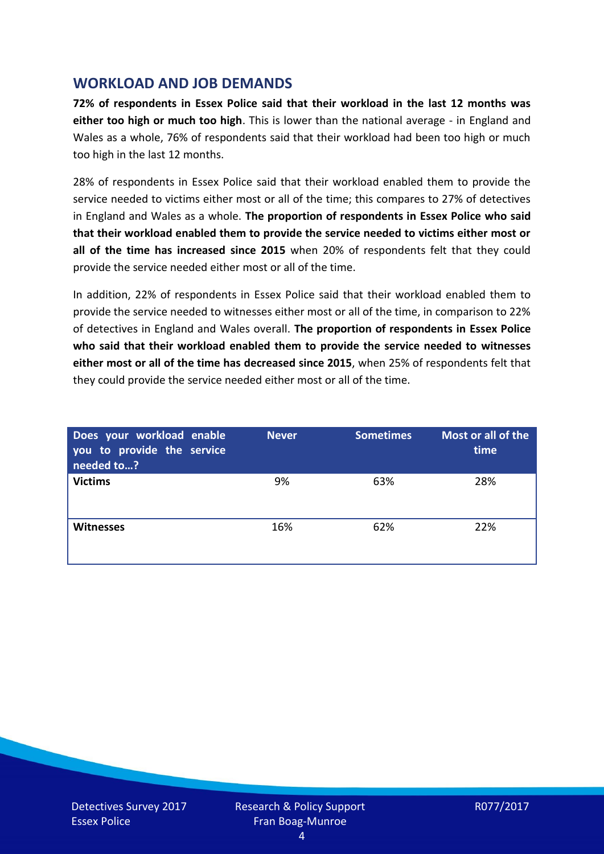## **WORKLOAD AND JOB DEMANDS**

**72% of respondents in Essex Police said that their workload in the last 12 months was either too high or much too high**. This is lower than the national average - in England and Wales as a whole, 76% of respondents said that their workload had been too high or much too high in the last 12 months.

28% of respondents in Essex Police said that their workload enabled them to provide the service needed to victims either most or all of the time; this compares to 27% of detectives in England and Wales as a whole. **The proportion of respondents in Essex Police who said that their workload enabled them to provide the service needed to victims either most or all of the time has increased since 2015** when 20% of respondents felt that they could provide the service needed either most or all of the time.

In addition, 22% of respondents in Essex Police said that their workload enabled them to provide the service needed to witnesses either most or all of the time, in comparison to 22% of detectives in England and Wales overall. **The proportion of respondents in Essex Police who said that their workload enabled them to provide the service needed to witnesses either most or all of the time has decreased since 2015**, when 25% of respondents felt that they could provide the service needed either most or all of the time.

| Does your workload enable<br>you to provide the service<br>needed to? | <b>Never</b> | <b>Sometimes</b> | Most or all of the<br>time |
|-----------------------------------------------------------------------|--------------|------------------|----------------------------|
| <b>Victims</b>                                                        | 9%           | 63%              | 28%                        |
| <b>Witnesses</b>                                                      | 16%          | 62%              | 22%                        |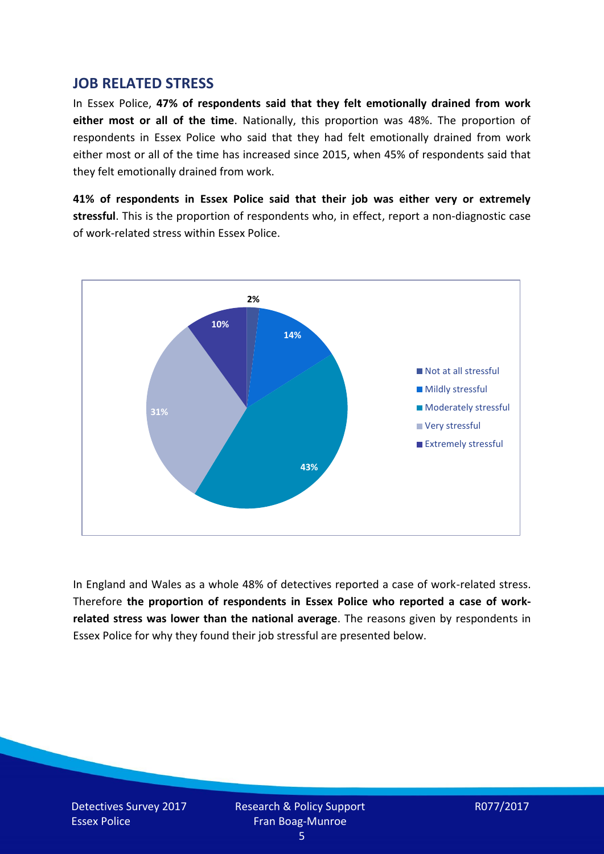#### **JOB RELATED STRESS**

In Essex Police, **47% of respondents said that they felt emotionally drained from work either most or all of the time**. Nationally, this proportion was 48%. The proportion of respondents in Essex Police who said that they had felt emotionally drained from work either most or all of the time has increased since 2015, when 45% of respondents said that they felt emotionally drained from work.

**41% of respondents in Essex Police said that their job was either very or extremely stressful**. This is the proportion of respondents who, in effect, report a non-diagnostic case of work-related stress within Essex Police.



In England and Wales as a whole 48% of detectives reported a case of work-related stress. Therefore **the proportion of respondents in Essex Police who reported a case of workrelated stress was lower than the national average**. The reasons given by respondents in Essex Police for why they found their job stressful are presented below.

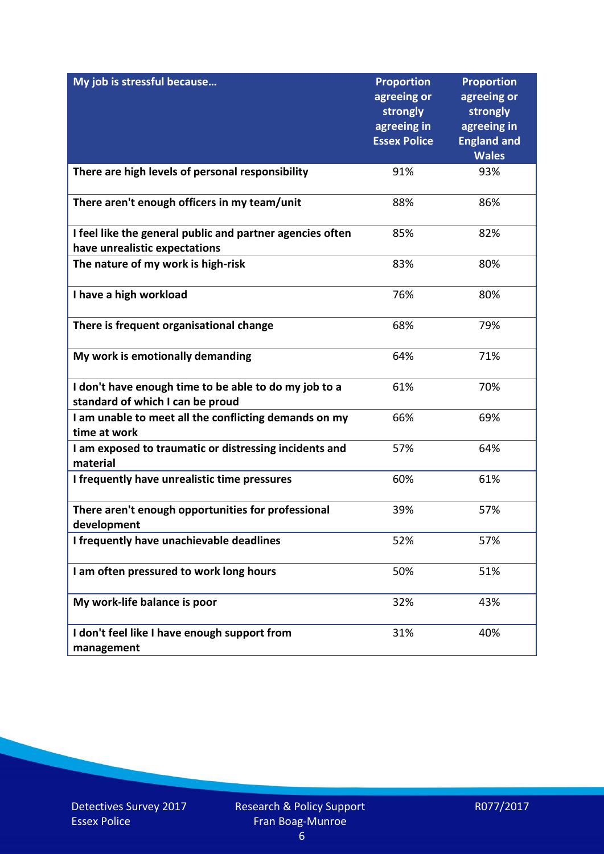| My job is stressful because                                                                | <b>Proportion</b><br>agreeing or<br>strongly<br>agreeing in<br><b>Essex Police</b> | <b>Proportion</b><br>agreeing or<br>strongly<br>agreeing in<br><b>England and</b><br><b>Wales</b> |
|--------------------------------------------------------------------------------------------|------------------------------------------------------------------------------------|---------------------------------------------------------------------------------------------------|
| There are high levels of personal responsibility                                           | 91%                                                                                | 93%                                                                                               |
| There aren't enough officers in my team/unit                                               | 88%                                                                                | 86%                                                                                               |
| I feel like the general public and partner agencies often<br>have unrealistic expectations | 85%                                                                                | 82%                                                                                               |
| The nature of my work is high-risk                                                         | 83%                                                                                | 80%                                                                                               |
| I have a high workload                                                                     | 76%                                                                                | 80%                                                                                               |
| There is frequent organisational change                                                    | 68%                                                                                | 79%                                                                                               |
| My work is emotionally demanding                                                           | 64%                                                                                | 71%                                                                                               |
| I don't have enough time to be able to do my job to a<br>standard of which I can be proud  | 61%                                                                                | 70%                                                                                               |
| I am unable to meet all the conflicting demands on my<br>time at work                      | 66%                                                                                | 69%                                                                                               |
| I am exposed to traumatic or distressing incidents and<br>material                         | 57%                                                                                | 64%                                                                                               |
| I frequently have unrealistic time pressures                                               | 60%                                                                                | 61%                                                                                               |
| There aren't enough opportunities for professional<br>development                          | 39%                                                                                | 57%                                                                                               |
| I frequently have unachievable deadlines                                                   | 52%                                                                                | 57%                                                                                               |
| I am often pressured to work long hours                                                    | 50%                                                                                | 51%                                                                                               |
| My work-life balance is poor                                                               | 32%                                                                                | 43%                                                                                               |
| I don't feel like I have enough support from<br>management                                 | 31%                                                                                | 40%                                                                                               |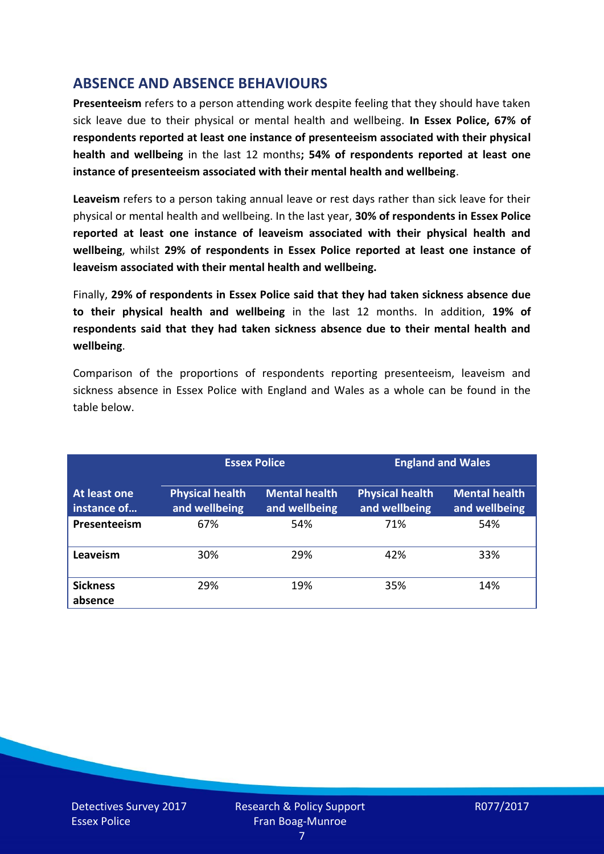# **ABSENCE AND ABSENCE BEHAVIOURS**

**Presenteeism** refers to a person attending work despite feeling that they should have taken sick leave due to their physical or mental health and wellbeing. **In Essex Police, 67% of respondents reported at least one instance of presenteeism associated with their physical health and wellbeing** in the last 12 months**; 54% of respondents reported at least one instance of presenteeism associated with their mental health and wellbeing**.

**Leaveism** refers to a person taking annual leave or rest days rather than sick leave for their physical or mental health and wellbeing. In the last year, **30% of respondents in Essex Police reported at least one instance of leaveism associated with their physical health and wellbeing**, whilst **29% of respondents in Essex Police reported at least one instance of leaveism associated with their mental health and wellbeing.**

Finally, **29% of respondents in Essex Police said that they had taken sickness absence due to their physical health and wellbeing** in the last 12 months. In addition, **19% of respondents said that they had taken sickness absence due to their mental health and wellbeing**.

Comparison of the proportions of respondents reporting presenteeism, leaveism and sickness absence in Essex Police with England and Wales as a whole can be found in the table below.

|                             | <b>Essex Police</b>                     |                                       | <b>England and Wales</b>                |                                       |
|-----------------------------|-----------------------------------------|---------------------------------------|-----------------------------------------|---------------------------------------|
| At least one<br>instance of | <b>Physical health</b><br>and wellbeing | <b>Mental health</b><br>and wellbeing | <b>Physical health</b><br>and wellbeing | <b>Mental health</b><br>and wellbeing |
| Presenteeism                | 67%                                     | 54%                                   | 71%                                     | 54%                                   |
| Leaveism                    | 30%                                     | 29%                                   | 42%                                     | 33%                                   |
| <b>Sickness</b><br>absence  | 29%                                     | 19%                                   | 35%                                     | 14%                                   |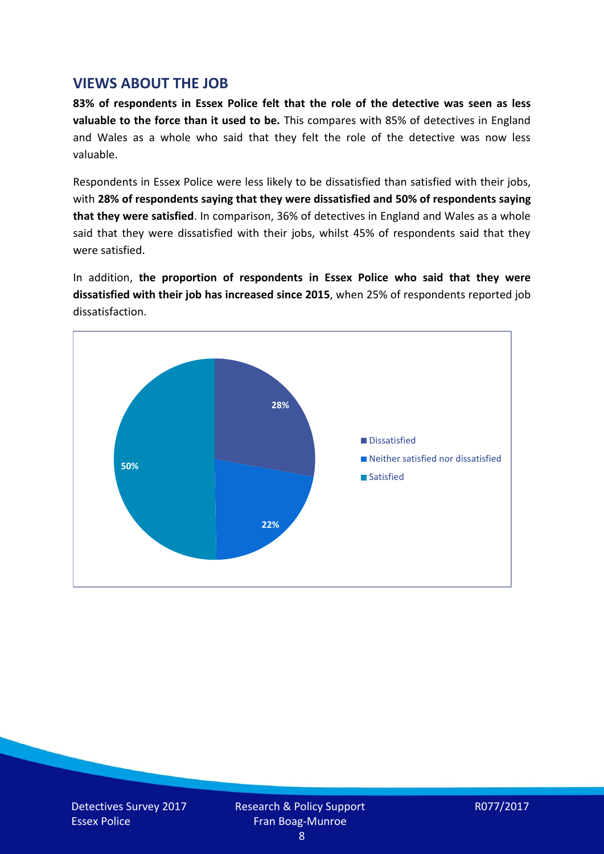## **VIEWS ABOUT THE JOB**

**83% of respondents in Essex Police felt that the role of the detective was seen as less valuable to the force than it used to be.** This compares with 85% of detectives in England and Wales as a whole who said that they felt the role of the detective was now less valuable.

Respondents in Essex Police were less likely to be dissatisfied than satisfied with their jobs, with **28% of respondents saying that they were dissatisfied and 50% of respondents saying that they were satisfied**. In comparison, 36% of detectives in England and Wales as a whole said that they were dissatisfied with their jobs, whilst 45% of respondents said that they were satisfied.

In addition, **the proportion of respondents in Essex Police who said that they were dissatisfied with their job has increased since 2015**, when 25% of respondents reported job dissatisfaction.



$$
R077/2017
$$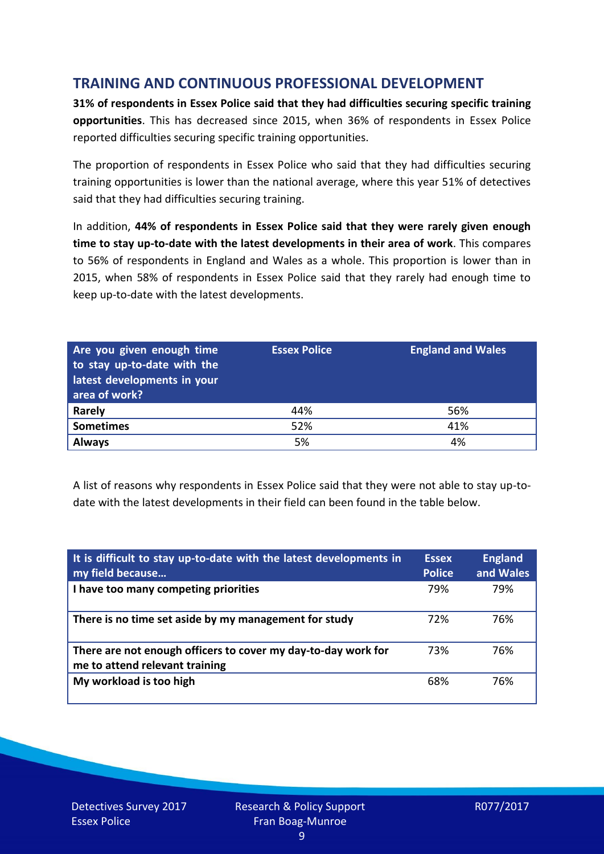# **TRAINING AND CONTINUOUS PROFESSIONAL DEVELOPMENT**

**31% of respondents in Essex Police said that they had difficulties securing specific training opportunities**. This has decreased since 2015, when 36% of respondents in Essex Police reported difficulties securing specific training opportunities.

The proportion of respondents in Essex Police who said that they had difficulties securing training opportunities is lower than the national average, where this year 51% of detectives said that they had difficulties securing training.

In addition, **44% of respondents in Essex Police said that they were rarely given enough time to stay up-to-date with the latest developments in their area of work**. This compares to 56% of respondents in England and Wales as a whole. This proportion is lower than in 2015, when 58% of respondents in Essex Police said that they rarely had enough time to keep up-to-date with the latest developments.

| Are you given enough time<br>to stay up-to-date with the<br>latest developments in your<br>area of work? | <b>Essex Police</b> | <b>England and Wales</b> |
|----------------------------------------------------------------------------------------------------------|---------------------|--------------------------|
| Rarely                                                                                                   | 44%                 | 56%                      |
| <b>Sometimes</b>                                                                                         | 52%                 | 41%                      |
| <b>Always</b>                                                                                            | 5%                  | 4%                       |

A list of reasons why respondents in Essex Police said that they were not able to stay up-todate with the latest developments in their field can been found in the table below.

| It is difficult to stay up-to-date with the latest developments in<br>my field because          | <b>Essex</b><br><b>Police</b> | <b>England</b><br>and Wales |
|-------------------------------------------------------------------------------------------------|-------------------------------|-----------------------------|
| I have too many competing priorities                                                            | 79%                           | 79%                         |
| There is no time set aside by my management for study                                           | 72%                           | 76%                         |
| There are not enough officers to cover my day-to-day work for<br>me to attend relevant training | 73%                           | 76%                         |
| My workload is too high                                                                         | 68%                           | 76%                         |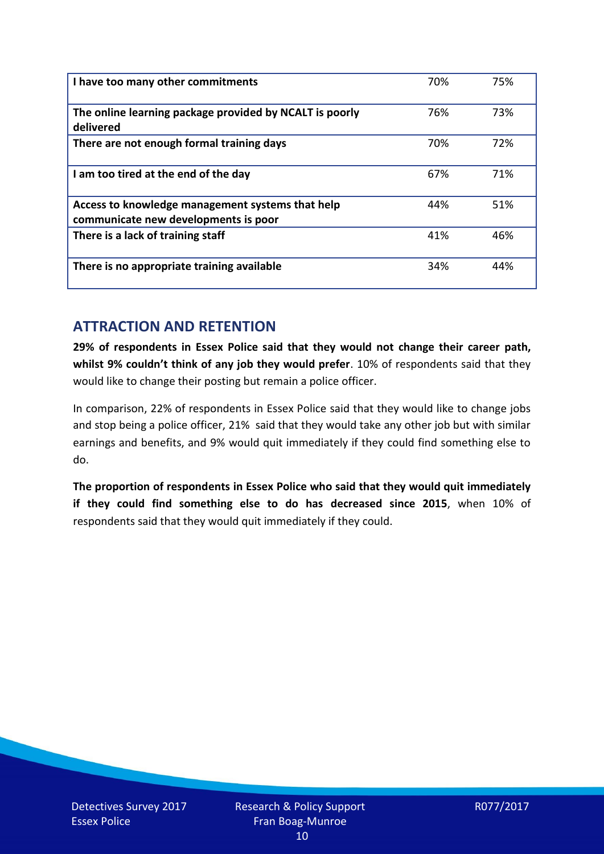| I have too many other commitments                                                        | 70% | 75% |
|------------------------------------------------------------------------------------------|-----|-----|
| The online learning package provided by NCALT is poorly<br>delivered                     | 76% | 73% |
| There are not enough formal training days                                                | 70% | 72% |
| I am too tired at the end of the day                                                     | 67% | 71% |
| Access to knowledge management systems that help<br>communicate new developments is poor | 44% | 51% |
| There is a lack of training staff                                                        | 41% | 46% |
| There is no appropriate training available                                               | 34% | 44% |

## **ATTRACTION AND RETENTION**

**29% of respondents in Essex Police said that they would not change their career path, whilst 9% couldn't think of any job they would prefer**. 10% of respondents said that they would like to change their posting but remain a police officer.

In comparison, 22% of respondents in Essex Police said that they would like to change jobs and stop being a police officer, 21% said that they would take any other job but with similar earnings and benefits, and 9% would quit immediately if they could find something else to do.

**The proportion of respondents in Essex Police who said that they would quit immediately if they could find something else to do has decreased since 2015**, when 10% of respondents said that they would quit immediately if they could.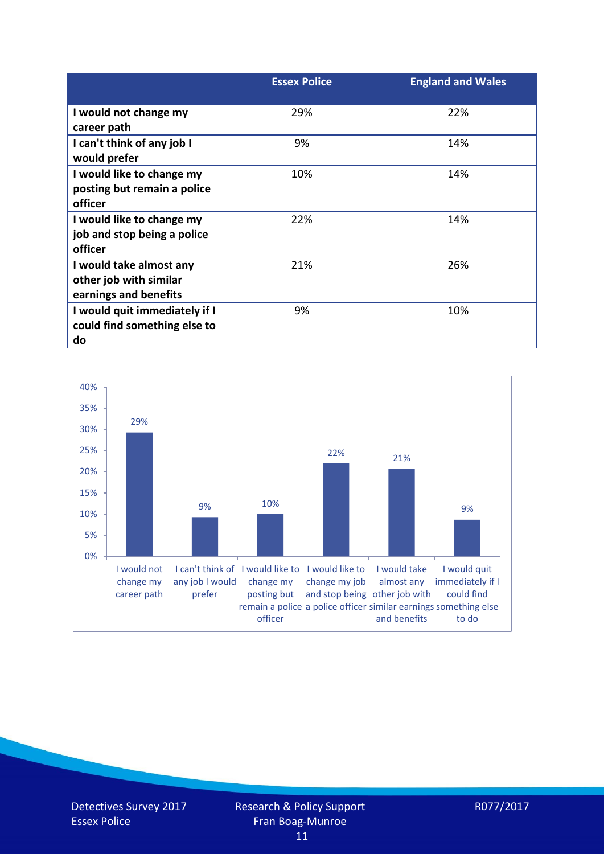|                                                                            | <b>Essex Police</b> | <b>England and Wales</b> |
|----------------------------------------------------------------------------|---------------------|--------------------------|
| I would not change my<br>career path                                       | 29%                 | 22%                      |
| I can't think of any job I<br>would prefer                                 | 9%                  | 14%                      |
| I would like to change my<br>posting but remain a police<br>officer        | 10%                 | 14%                      |
| I would like to change my<br>job and stop being a police<br>officer        | 22%                 | 14%                      |
| I would take almost any<br>other job with similar<br>earnings and benefits | 21%                 | 26%                      |
| I would quit immediately if I<br>could find something else to<br>do        | 9%                  | 10%                      |